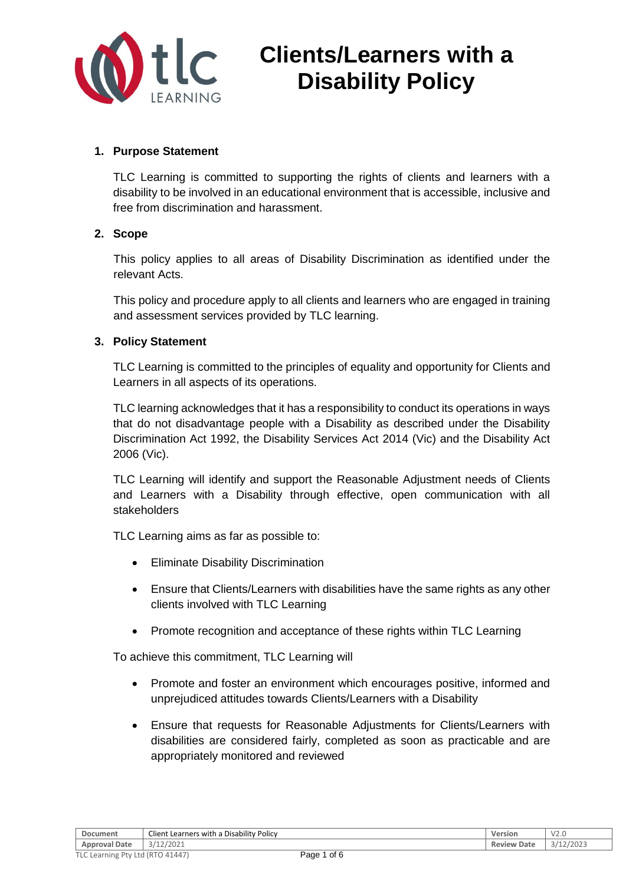

## **1. Purpose Statement**

TLC Learning is committed to supporting the rights of clients and learners with a disability to be involved in an educational environment that is accessible, inclusive and free from discrimination and harassment.

#### **2. Scope**

This policy applies to all areas of Disability Discrimination as identified under the relevant Acts.

This policy and procedure apply to all clients and learners who are engaged in training and assessment services provided by TLC learning.

#### **3. Policy Statement**

TLC Learning is committed to the principles of equality and opportunity for Clients and Learners in all aspects of its operations.

TLC learning acknowledges that it has a responsibility to conduct its operations in ways that do not disadvantage people with a Disability as described under the Disability Discrimination Act 1992, the Disability Services Act 2014 (Vic) and the Disability Act 2006 (Vic).

TLC Learning will identify and support the Reasonable Adjustment needs of Clients and Learners with a Disability through effective, open communication with all stakeholders

TLC Learning aims as far as possible to:

- Eliminate Disability Discrimination
- Ensure that Clients/Learners with disabilities have the same rights as any other clients involved with TLC Learning
- Promote recognition and acceptance of these rights within TLC Learning

To achieve this commitment, TLC Learning will

- Promote and foster an environment which encourages positive, informed and unprejudiced attitudes towards Clients/Learners with a Disability
- Ensure that requests for Reasonable Adjustments for Clients/Learners with disabilities are considered fairly, completed as soon as practicable and are appropriately monitored and reviewed

| Document           | $-1$<br>.<br>Learners with a Disability Policy<br>Client | Versior               | V <sub>2.0</sub>                   |
|--------------------|----------------------------------------------------------|-----------------------|------------------------------------|
| oroval Date<br>App | 3/12/2021                                                | Date<br><b>Review</b> | 12/2023<br>$\sim$<br>$\frac{3}{2}$ |
| $- \cdot -$        | $\sim$ $\sim$ $\sim$                                     |                       |                                    |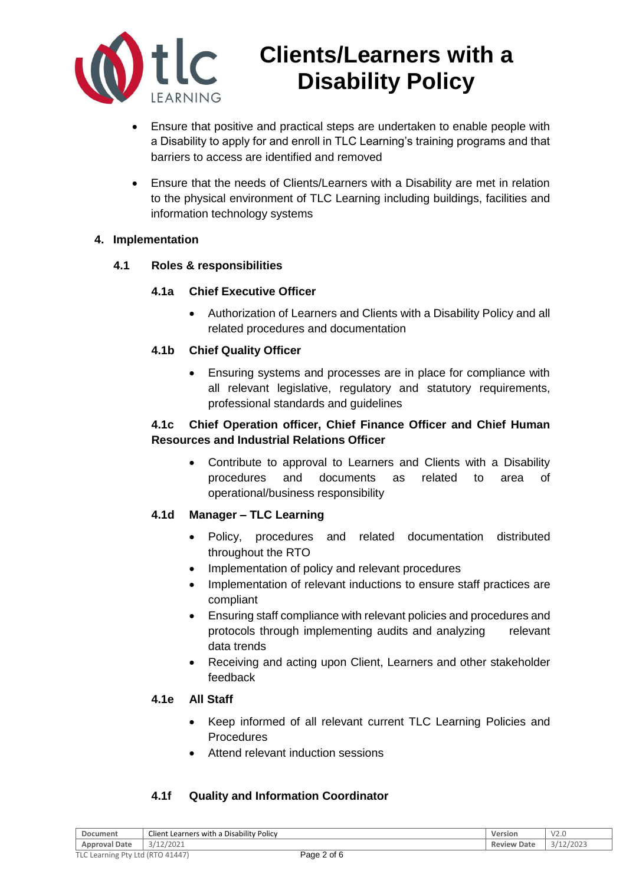

- Ensure that positive and practical steps are undertaken to enable people with a Disability to apply for and enroll in TLC Learning's training programs and that barriers to access are identified and removed
- Ensure that the needs of Clients/Learners with a Disability are met in relation to the physical environment of TLC Learning including buildings, facilities and information technology systems

## **4. Implementation**

## **4.1 Roles & responsibilities**

### **4.1a Chief Executive Officer**

• Authorization of Learners and Clients with a Disability Policy and all related procedures and documentation

## **4.1b Chief Quality Officer**

• Ensuring systems and processes are in place for compliance with all relevant legislative, regulatory and statutory requirements, professional standards and guidelines

### **4.1c Chief Operation officer, Chief Finance Officer and Chief Human Resources and Industrial Relations Officer**

• Contribute to approval to Learners and Clients with a Disability procedures and documents as related to area of operational/business responsibility

### **4.1d Manager – TLC Learning**

- Policy, procedures and related documentation distributed throughout the RTO
- Implementation of policy and relevant procedures
- Implementation of relevant inductions to ensure staff practices are compliant
- Ensuring staff compliance with relevant policies and procedures and protocols through implementing audits and analyzing relevant data trends
- Receiving and acting upon Client, Learners and other stakeholder feedback

### **4.1e All Staff**

- Keep informed of all relevant current TLC Learning Policies and Procedures
- Attend relevant induction sessions

## **4.1f Quality and Information Coordinator**

| Document                         | Client Learners with a Disability Policy |             | Version            | V <sub>2.0</sub> |
|----------------------------------|------------------------------------------|-------------|--------------------|------------------|
| <b>Approval Date</b>             | 3/12/2021                                |             | <b>Review Date</b> | 3/12/2023        |
| TLC Learning Pty Ltd (RTO 41447) |                                          | Page 2 of 6 |                    |                  |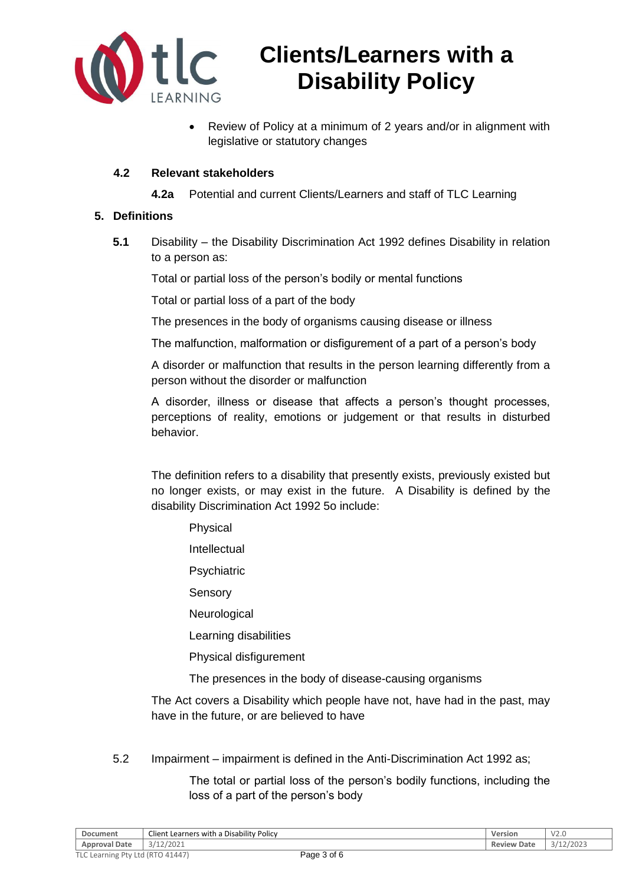

• Review of Policy at a minimum of 2 years and/or in alignment with legislative or statutory changes

## **4.2 Relevant stakeholders**

**4.2a** Potential and current Clients/Learners and staff of TLC Learning

### **5. Definitions**

**5.1** Disability – the Disability Discrimination Act 1992 defines Disability in relation to a person as:

Total or partial loss of the person's bodily or mental functions

Total or partial loss of a part of the body

The presences in the body of organisms causing disease or illness

The malfunction, malformation or disfigurement of a part of a person's body

A disorder or malfunction that results in the person learning differently from a person without the disorder or malfunction

A disorder, illness or disease that affects a person's thought processes, perceptions of reality, emotions or judgement or that results in disturbed behavior.

The definition refers to a disability that presently exists, previously existed but no longer exists, or may exist in the future. A Disability is defined by the disability Discrimination Act 1992 5o include:

- Physical
- Intellectual
- **Psychiatric**
- Sensory
- Neurological
- Learning disabilities
- Physical disfigurement
- The presences in the body of disease-causing organisms

The Act covers a Disability which people have not, have had in the past, may have in the future, or are believed to have

5.2 Impairment – impairment is defined in the Anti-Discrimination Act 1992 as;

The total or partial loss of the person's bodily functions, including the loss of a part of the person's body

| Document                         | Client Learners with a Disability Policy |             | Version            | V2.0      |
|----------------------------------|------------------------------------------|-------------|--------------------|-----------|
| <b>Approval Date</b>             | 3/12/2021                                |             | <b>Review Date</b> | 3/12/2023 |
| TLC Learning Pty Ltd (RTO 41447) |                                          | Page 3 of 6 |                    |           |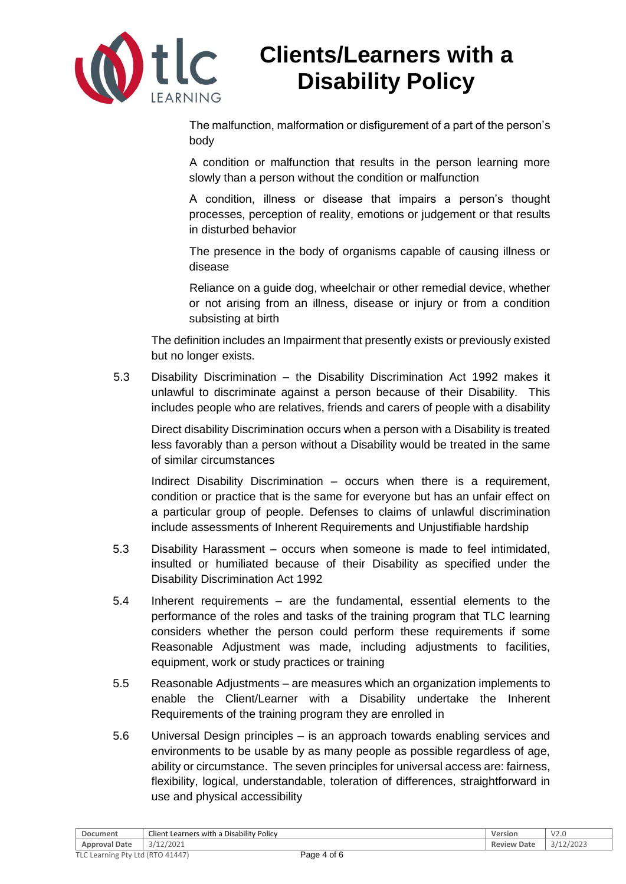

The malfunction, malformation or disfigurement of a part of the person's body

A condition or malfunction that results in the person learning more slowly than a person without the condition or malfunction

A condition, illness or disease that impairs a person's thought processes, perception of reality, emotions or judgement or that results in disturbed behavior

The presence in the body of organisms capable of causing illness or disease

Reliance on a guide dog, wheelchair or other remedial device, whether or not arising from an illness, disease or injury or from a condition subsisting at birth

The definition includes an Impairment that presently exists or previously existed but no longer exists.

5.3 Disability Discrimination – the Disability Discrimination Act 1992 makes it unlawful to discriminate against a person because of their Disability. This includes people who are relatives, friends and carers of people with a disability

Direct disability Discrimination occurs when a person with a Disability is treated less favorably than a person without a Disability would be treated in the same of similar circumstances

Indirect Disability Discrimination – occurs when there is a requirement, condition or practice that is the same for everyone but has an unfair effect on a particular group of people. Defenses to claims of unlawful discrimination include assessments of Inherent Requirements and Unjustifiable hardship

- 5.3 Disability Harassment occurs when someone is made to feel intimidated, insulted or humiliated because of their Disability as specified under the Disability Discrimination Act 1992
- 5.4 Inherent requirements are the fundamental, essential elements to the performance of the roles and tasks of the training program that TLC learning considers whether the person could perform these requirements if some Reasonable Adjustment was made, including adjustments to facilities, equipment, work or study practices or training
- 5.5 Reasonable Adjustments are measures which an organization implements to enable the Client/Learner with a Disability undertake the Inherent Requirements of the training program they are enrolled in
- 5.6 Universal Design principles is an approach towards enabling services and environments to be usable by as many people as possible regardless of age, ability or circumstance. The seven principles for universal access are: fairness, flexibility, logical, understandable, toleration of differences, straightforward in use and physical accessibility

| Document                         | Client Learners with a Disability Policy |             | Version            | V <sub>2.0</sub> |
|----------------------------------|------------------------------------------|-------------|--------------------|------------------|
| <b>Approval Date</b>             | 3/12/2021                                |             | <b>Review Date</b> | 3/12/2023        |
| TLC Learning Pty Ltd (RTO 41447) |                                          | Page 4 of 6 |                    |                  |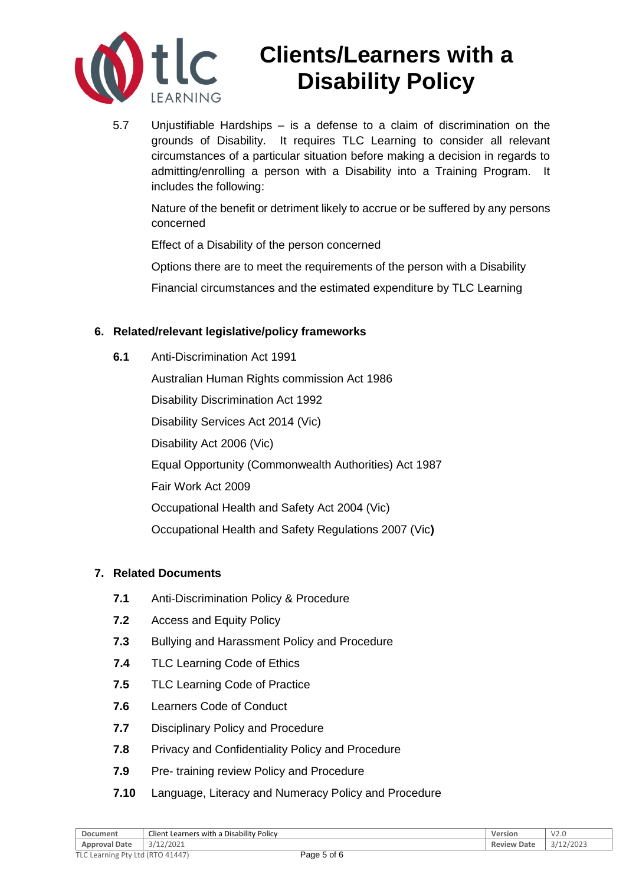

5.7 Unjustifiable Hardships – is a defense to a claim of discrimination on the grounds of Disability. It requires TLC Learning to consider all relevant circumstances of a particular situation before making a decision in regards to admitting/enrolling a person with a Disability into a Training Program. It includes the following:

Nature of the benefit or detriment likely to accrue or be suffered by any persons concerned

Effect of a Disability of the person concerned

Options there are to meet the requirements of the person with a Disability

Financial circumstances and the estimated expenditure by TLC Learning

### **6. Related/relevant legislative/policy frameworks**

**6.1** Anti-Discrimination Act 1991 Australian Human Rights commission Act 1986 Disability Discrimination Act 1992 Disability Services Act 2014 (Vic) Disability Act 2006 (Vic) Equal Opportunity (Commonwealth Authorities) Act 1987 Fair Work Act 2009 Occupational Health and Safety Act 2004 (Vic) Occupational Health and Safety Regulations 2007 (Vic**)**

### **7. Related Documents**

- **7.1** Anti-Discrimination Policy & Procedure
- **7.2** Access and Equity Policy
- **7.3** Bullying and Harassment Policy and Procedure
- **7.4** TLC Learning Code of Ethics
- **7.5** TLC Learning Code of Practice
- **7.6** Learners Code of Conduct
- **7.7** Disciplinary Policy and Procedure
- **7.8** Privacy and Confidentiality Policy and Procedure
- **7.9** Pre- training review Policy and Procedure
- **7.10** Language, Literacy and Numeracy Policy and Procedure

| Document                         | Client Learners with a Disability Policy |             | Version            | V <sub>2.0</sub> |
|----------------------------------|------------------------------------------|-------------|--------------------|------------------|
| <b>Approval Date</b>             | 3/12/2021                                |             | <b>Review Date</b> | 3/12/2023        |
| TLC Learning Pty Ltd (RTO 41447) |                                          | Page 5 of 6 |                    |                  |